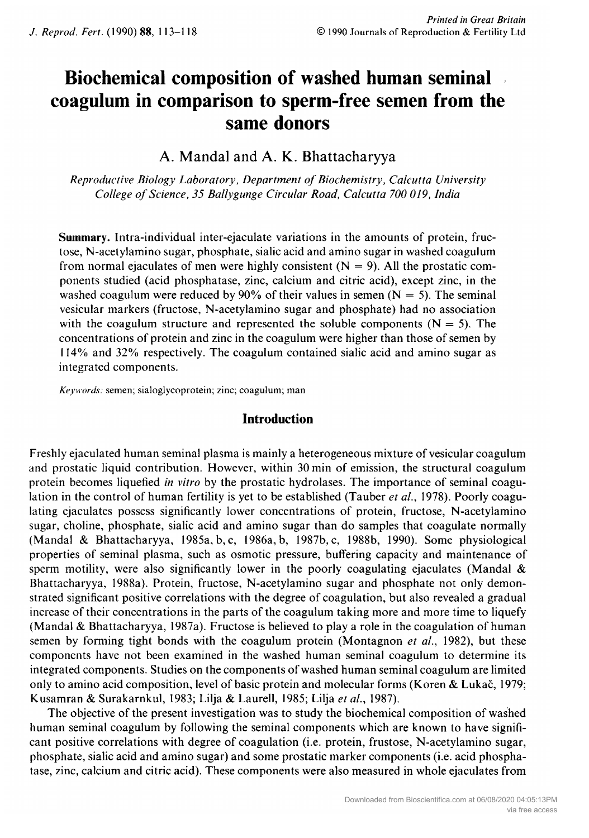# Biochemical composition of washed human seminal coagulum in comparison to sperm-free semen from the same donors

## A. Mandal and A. K. Bhattacharyya

Reproductive Biology Laboratory, Department of Biochemistry, Calcutta University College of Science, 35 Ballygunge Circular Road, Calcutta 700 019, India

Summary. Intra-individual inter-ejaculate variations in the amounts of protein, fructose, N-acetylamino sugar, phosphate, sialic acid and amino sugar in washed coagulum from normal ejaculates of men were highly consistent  $(N = 9)$ . All the prostatic components studied (acid phosphatase, zinc, calcium and citric acid), except zinc, in the washed coagulum were reduced by  $90\%$  of their values in semen (N = 5). The seminal vesicular markers (fructose, N-acetylamino sugar and phosphate) had no association with the coagulum structure and represented the soluble components  $(N = 5)$ . The concentrations of protein and zinc in the coagulum were higher than those of semen by 114% and 32% respectively. The coagulum contained sialic acid and amino sugar as integrated components.

Keywords: semen; sialoglycoprotein; zinc; coagulum; man

## Introduction

Freshly ejaculated human seminal plasma is mainly <sup>a</sup> heterogeneous mixture of vesicular coagulum and prostatic liquid contribution. However, within <sup>30</sup> min of emission, the structural coagulum protein becomes liquefied in vitro by the prostatic hydrolases. The importance of seminal coagulation in the control of human fertility is yet to be established (Tauber *et al.*, 1978). Poorly coagulating ejaculates possess significantly lower concentrations of protein, fructose, N-acetylamino sugar, choline, phosphate, sialic acid and amino sugar than do samples that coagulate normally (Mandai & Bhattacharyya, 1985a, b,c, 1986a, b, 1987b, c, 1988b, 1990). Some physiological properties of seminal plasma, such as osmotic pressure, buffering capacity and maintenance of sperm motility, were also significantly lower in the poorly coagulating ejaculates (Mandal  $\&$ Bhattacharyya, 1988a). Protein, fructose, N-acetylamino sugar and phosphate not only demon strated significant positive correlations with the degree of coagulation, but also revealed <sup>a</sup> gradual increase of their concentrations in the parts of the coagulum taking more and more time to liquefy (Mandai & Bhattacharyya, 1987a). Fructose is believed to play <sup>a</sup> role in the coagulation of human semen by forming tight bonds with the coagulum protein (Montagnon et al., 1982), but these components have not been examined in the washed human seminal coagulum to determine its integrated components. Studies on the components of washed human seminal coagulum are limited only to amino acid composition, level of basic protein and molecular forms (Koren & Lukac, 1979; Kusamran & Surakarnkul, 1983; Lilja & Laurell, 1985; Lilja et ai, 1987).

The objective of the present investigation was to study the biochemical composition of washed human seminal coagulum by following the seminal components which are known to have significant positive correlations with degree of coagulation (i.e. protein, frustose, N-acetylamino sugar, phosphate, sialic acid and amino sugar) and some prostatic marker components (i.e. acid phospha tase, zinc, calcium and citric acid). These components were also measured in whole ejaculates from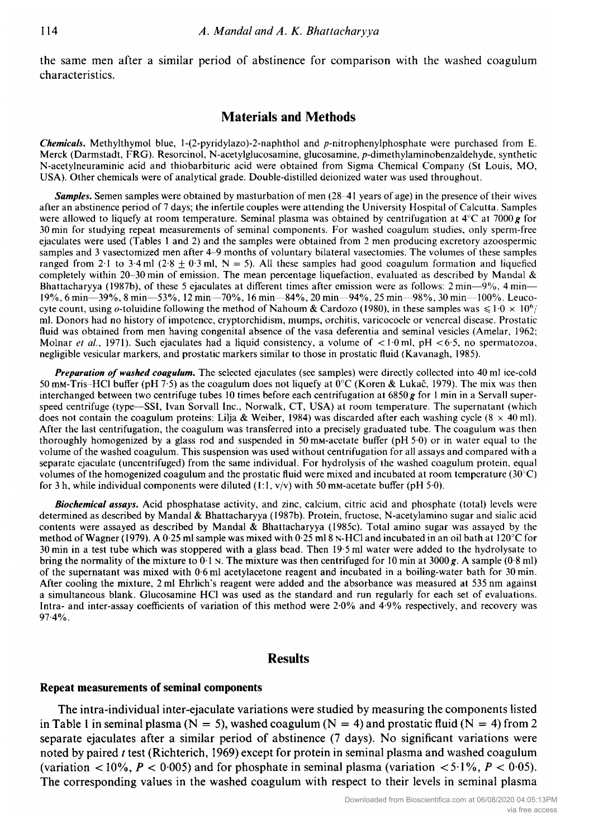the same men after <sup>a</sup> similar period of abstinence for comparison with the washed coagulum characteristics.

## Materials and Methods

**Chemicals.** Methylthymol blue, 1-(2-pyridylazo)-2-naphthol and p-nitrophenylphosphate were purchased from E. Merck (Darmstadt, FRG). Resorcinol, N-acetylglucosamine, glucosamine, p-dimethylaminobenzaldehyde, synthetic N-acetylneuraminic acid and thiobarbituric acid were obtained from Sigma Chemical Company (St Louis, MO, USA). Other chemicals were of analytical grade. Double-distilled deionized water was used throughout.

**Samples.** Semen samples were obtained by masturbation of men (28–41 years of age) in the presence of their wives after an abstinence period of <sup>7</sup> days; the infertile couples were attending the University Hospital of Calcutta. Samples were allowed to liquefy at room temperature. Seminal plasma was obtained by centrifugation at  $4^{\circ}$ C at 7000 g for <sup>30</sup> min for studying repeat measurements of seminal components. For washed coagulum studies, only sperm-free ejaculates were used (Tables <sup>1</sup> and 2) and the samples were obtained from <sup>2</sup> men producing excretory azoospermic samples and <sup>3</sup> vasectomized men after 4-9 months of voluntary bilateral vasectomies. The volumes of these samples ranged from 2.1 to 3.4 ml (2.8  $\pm$  0.3 ml, N = 5). All these samples had good coagulum formation and liquefied completely within 20-30 min of emission. The mean percentage liquefaction, evaluated as described by Mandal & Bhattacharyya (1987b), of these <sup>5</sup> ejaculates at different times after emission were as follows: <sup>2</sup> min—9%, <sup>4</sup> min— 19%, 6 min—39%, 8 min—53%, 12 min—70%, 16 min—84%, 20 min—94%, 25 min—98%, 30 min—100%. Leuco cyte count, using o-toluidine following the method of Nahoum & Cardozo (1980), in these samples was  $\leq 1.0 \times 10^6$ / ml. Donors had no history of impotence, cryptorchidism, mumps, orchitis, varicocoele or venereal disease. Prostatic fluid was obtained from men having congenital absence of the vasa deferentia and seminal vesicles (Amelar, 1962; Molnar et al., 1971). Such ejaculates had a liquid consistency, a volume of  $\lt 1.0$  ml, pH  $\lt 6.5$ , no spermatozoa, negligible vesicular markers, and prostatic markers similar to those in prostatic fluid (Kavanagh, 1985).

Preparation of washed coagulum. The selected ejaculates (see samples) were directly collected into 40 ml ice-cold 50 mM-Tris-HCl buffer (pH 7.5) as the coagulum does not liquefy at  $0^{\circ}$ C (Koren & Lukač, 1979). The mix was then interchanged between two centrifuge tubes 10 times before each centrifugation at 6850  $g$  for 1 min in a Servall superspeed centrifuge (type—SSI, Ivan Sorvall Inc., Norwalk, CT, USA) at room temperature. The supernatant (which does not contain the coagulum proteins: Lilja & Weiber, 1984) was discarded after each washing cycle (8  $\times$  40 ml). After the last centrifugation, the coagulum was transferred into <sup>a</sup> precisely graduated tube. The coagulum was then thoroughly homogenized by <sup>a</sup> glass rod and suspended in 50mM-acetate buffer (pH 50) or in water equal to the volume of the washed coagulum. This suspension was used without centrifugation for all assays and compared with <sup>a</sup> separate ejaculate (uncentrifuged) from the same individual. For hydrolysis of the washed coagulum protein, equal volumes of the homogenized coagulum and the prostatic fluid were mixed and incubated at room temperature (30°C) for 3 h, while individual components were diluted (1:1,  $v/v$ ) with 50 mM-acetate buffer (pH 5.0).

Biochemical assays. Acid phosphatase activity, and zinc, calcium, citric acid and phosphate (total) levels were determined as described by Mandai & Bhattacharyya (1987b). Protein, fructose, N-acetylamino sugar and sialic acid contents were assayed as described by Mandai & Bhattacharyya (1985c). Total amino sugar was assayed by the method ofWagner (1979). A 0-25 ml sample was mixed with 0-25 ml <sup>8</sup> N-HC1 and incubated in an oil bath at 120°C for <sup>30</sup> min in <sup>a</sup> test tube which was stoppered with <sup>a</sup> glass bead. Then 19-5 ml water were added to the hydrolysate to bring the normality of the mixture to  $0.1$  N. The mixture was then centrifuged for 10 min at 3000 g. A sample (0.8 ml) of the supernatant was mixed with 0-6 ml acetylacetone reagent and incubated in <sup>a</sup> boiling-water bath for <sup>30</sup> min. After cooling the mixture, <sup>2</sup> ml Ehrlich's reagent were added and the absorbance was measured at <sup>535</sup> nm against <sup>a</sup> simultaneous blank. Glucosamine HC1 was used as the standard and run regularly for each set of evaluations. Intra- and inter-assay coefficients of variation of this method were 2-0% and 4-9% respectively, and recovery was 97-4%.

### **Results**

#### Repeat measurements of seminal components

The intra-individual inter-ejaculate variations were studied by measuring the components listed in Table 1 in seminal plasma ( $N = 5$ ), washed coagulum ( $N = 4$ ) and prostatic fluid ( $N = 4$ ) from 2 separate ejaculates after <sup>a</sup> similar period of abstinence (7 days). No significant variations were noted by paired t test (Richterich, 1969) except for protein in seminal plasma and washed coagulum (variation  $\lt 10\%$ ,  $P \lt 0.005$ ) and for phosphate in seminal plasma (variation  $\lt 5.1\%$ ,  $P \lt 0.05$ ). The corresponding values in the washed coagulum with respect to their levels in seminal plasma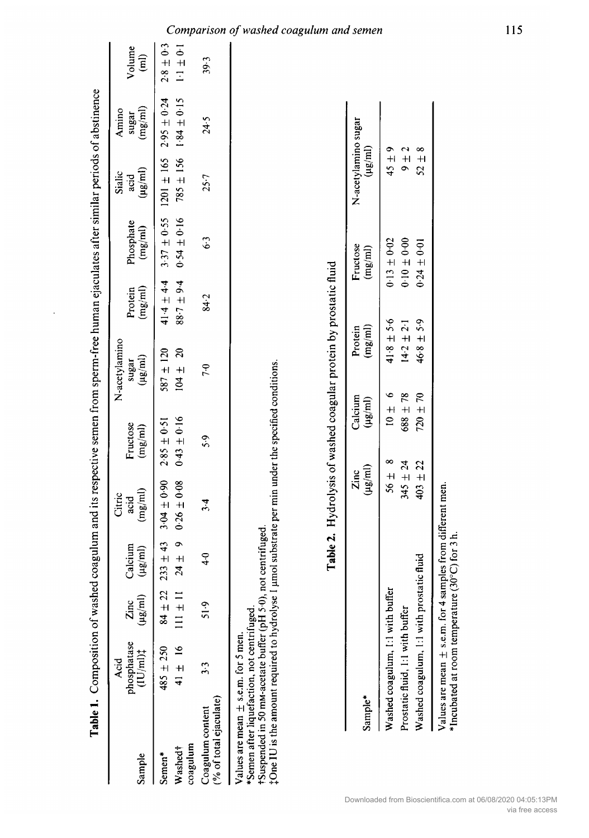|                                                                                                                                                                                                                                                                             |                                                                      |                                                              |                                |                                      |                                         | Table 1. Composition of washed coagulum and its respective semen from sperm-free human ejaculates after similar periods of abstinence |                                        |                                          |                                                  |                                    |                                  |
|-----------------------------------------------------------------------------------------------------------------------------------------------------------------------------------------------------------------------------------------------------------------------------|----------------------------------------------------------------------|--------------------------------------------------------------|--------------------------------|--------------------------------------|-----------------------------------------|---------------------------------------------------------------------------------------------------------------------------------------|----------------------------------------|------------------------------------------|--------------------------------------------------|------------------------------------|----------------------------------|
| Sample                                                                                                                                                                                                                                                                      | phosphatase<br>$(1U/m!)$ #<br>Acid                                   | $(\mu \mathrm{g}/\mathrm{m})$<br>Zinc                        | Calcium<br>$(\mu g/\text{ml})$ | (mg/ml)<br>Citric<br>acid            | Fructose<br>(mg/ml)                     | N-acetylamino<br>$(\mu g/m)$<br>sugar                                                                                                 | $\left(\text{mg/ml}\right)$<br>Protein | Phosphate<br>$\left(\frac{mg}{m}\right)$ | $(\mu \mathrm{g}/\mathrm{m}l)$<br>Sialic<br>acid | (mg/ml)<br>Amino<br>sugar          | Volume<br>$\widehat{\mathbf{E}}$ |
| coagulum<br>Washed <sup>+</sup><br>Semen*                                                                                                                                                                                                                                   | 41 $\pm$ 16<br>$485 \pm 250$                                         | $\overline{c}$<br>$\equiv$<br>$\frac{1}{2}$<br>$\frac{4}{3}$ | $24 \pm 9$<br>$233 \pm 43$     | $3.04 \pm 0.90$<br>$0.26\,\pm\,0.08$ | $0.43 \pm 0.16$<br>$2.85 \pm 0.51$      | $104 \pm 20$<br>$587 \pm 120$                                                                                                         | $41.4 \pm 4.4$<br>$88.7 \pm 9.4$       | $0.54 \pm 0.16$                          | $785 \pm 156$<br>$3.37 \pm 0.55$ 1201 $\pm$ 165  | $1.84 \pm 0.15$<br>$2.95 \pm 0.24$ | $2.8 \pm 0.3$<br>$1 - 1 \pm 0.1$ |
| $($ % of total ejaculate)<br>Coagulum content                                                                                                                                                                                                                               | $\ddot{3}$                                                           | $\frac{5}{15}$                                               | $\ddot{ }$                     | $3 - 4$                              | 5.9                                     | 7.0                                                                                                                                   | 84.2                                   | 6.3                                      | 25.7                                             | 24.5                               | 39.3                             |
| <sup>+</sup> One IU is the amount required to hydrolyse 1 µmol substrate per min under the specified conditions.<br>+Suspended in 50 mM-acetate buffer (pH 5.0), not centrifuged.<br>*Semen after liquefaction, not centrifuged.<br>Values are mean $\pm$ s.e.m. for 5 men. |                                                                      |                                                              |                                |                                      |                                         |                                                                                                                                       |                                        |                                          |                                                  |                                    |                                  |
|                                                                                                                                                                                                                                                                             |                                                                      |                                                              |                                |                                      |                                         | Table 2. Hydrolysis of washed coagular protein by prostatic fluid                                                                     |                                        |                                          |                                                  |                                    |                                  |
| Sample*                                                                                                                                                                                                                                                                     |                                                                      |                                                              |                                | $(\mu\mathsf{g}/\mathsf{m})$<br>Zinc | Calcium<br>$(\mu\mathsf{g}/\mathsf{m})$ | (mg/ml)<br>Protein                                                                                                                    |                                        | Fructose<br>(mg/ml)                      | N-acetylamino sugar<br>$(\mu$ g/ml)              |                                    |                                  |
|                                                                                                                                                                                                                                                                             | Washed coagulum, 1:1 with buffer<br>Prostatic fluid, 1:1 with buffer |                                                              |                                | $345 \pm 24$<br>$56\pm$              | 688 ± 78<br>$\infty$                    | $41.8 \pm 5.6$<br>$14.2 \pm 2.1$<br>$10 + 6$                                                                                          |                                        | $0.13 \pm 0.02$<br>$0.0 - 0.00$          | $45 + 9$<br>$+$ $+$                              |                                    |                                  |

Values are mean  $\pm$  s.e.m. for 4 samples from different men.<br>\*Incubated at room temperature (30°C) for 3 h.

 $52 \pm 8$ 

 $0.24\pm0.01$ 

 $46.8 \pm 5.9$ 

 $720\pm70$ 

 $403\pm22$ 

Washed coagulum, 1:1 with prostatic fluid

I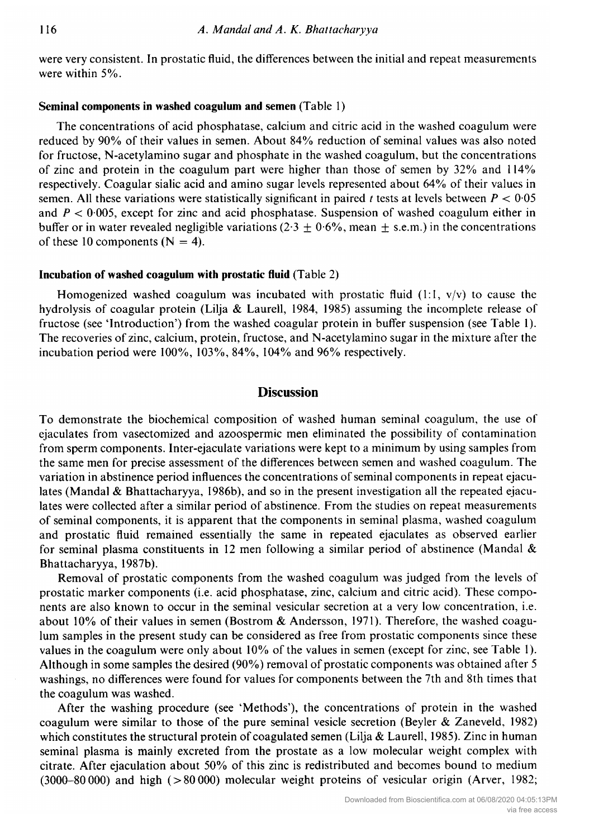were very consistent. In prostatic fluid, the differences between the initial and repeat measurements were within 5%.

#### Seminal components in washed coagulum and semen (Table 1)

The concentrations of acid phosphatase, calcium and citric acid in the washed coagulum were reduced by 90% of their values in semen. About 84% reduction of seminal values was also noted for fructose, N-acetylamino sugar and phosphate in the washed coagulum, but the concentrations of zinc and protein in the coagulum part were higher than those of semen by 32% and 114% respectively. Coagular sialic acid and amino sugar levels represented about 64% of their values in semen. All these variations were statistically significant in paired t tests at levels between  $P < 0.05$ and  $P < 0.005$ , except for zinc and acid phosphatase. Suspension of washed coagulum either in buffer or in water revealed negligible variations (2.3  $\pm$  0.6%, mean  $\pm$  s.e.m.) in the concentrations of these 10 components  $(N = 4)$ .

#### Incubation of washed coagulum with prostatic fluid (Table 2)

Homogenized washed coagulum was incubated with prostatic fluid  $(1:1, v/v)$  to cause the hydrolysis of coagular protein (Lilja & Laurell, 1984, 1985) assuming the incomplete release of fructose (see 'Introduction') from the washed coagular protein in buffer suspension (see Table 1). The recoveries of zinc, calcium, protein, fructose, and N-acetylamino sugar in the mixture after the incubation period were 100%, 103%, 84%, 104% and 96% respectively.

## **Discussion**

To demonstrate the biochemical composition of washed human seminal coagulum, the use of ejaculates from vasectomized and azoospermic men eliminated the possibility of contamination from sperm components. Inter-ejaculate variations were kept to <sup>a</sup> minimum by using samples from the same men for precise assessment of the differences between semen and washed coagulum. The variation in abstinence period influences the concentrations of seminal components in repeat ejaculates (Mandal & Bhattacharyya, 1986b), and so in the present investigation all the repeated ejaculates were collected after <sup>a</sup> similar period of abstinence. From the studies on repeat measurements of seminal components, it is apparent that the components in seminal plasma, washed coagulum and prostatic fluid remained essentially the same in repeated ejaculates as observed earlier for seminal plasma constituents in 12 men following a similar period of abstinence (Mandal  $\&$ Bhattacharyya, 1987b).

Removal of prostatic components from the washed coagulum was judged from the levels of prostatic marker components (i.e. acid phosphatase, zinc, calcium and citric acid). These components are also known to occur in the seminal vesicular secretion at <sup>a</sup> very low concentration, i.e. about 10% of their values in semen (Bostrom & Andersson, 1971). Therefore, the washed coagulum samples in the present study can be considered as free from prostatic components since these values in the coagulum were only about 10% of the values in semen (except for zinc, see Table 1). Although in some samples the desired (90%) removal of prostatic components was obtained after <sup>5</sup> washings, no differences were found for values for components between the 7th and 8th times that the coagulum was washed.

After the washing procedure (see 'Methods'), the concentrations of protein in the washed coagulum were similar to those of the pure seminal vesicle secretion (Beyler & Zaneveld, 1982) which constitutes the structural protein of coagulated semen (Lilja & Laurell, 1985). Zinc in human seminal plasma is mainly excreted from the prostate as <sup>a</sup> low molecular weight complex with citrate. After ejaculation about 50% of this zinc is redistributed and becomes bound to medium  $(3000-80000)$  and high  $(>80000)$  molecular weight proteins of vesicular origin (Arver, 1982;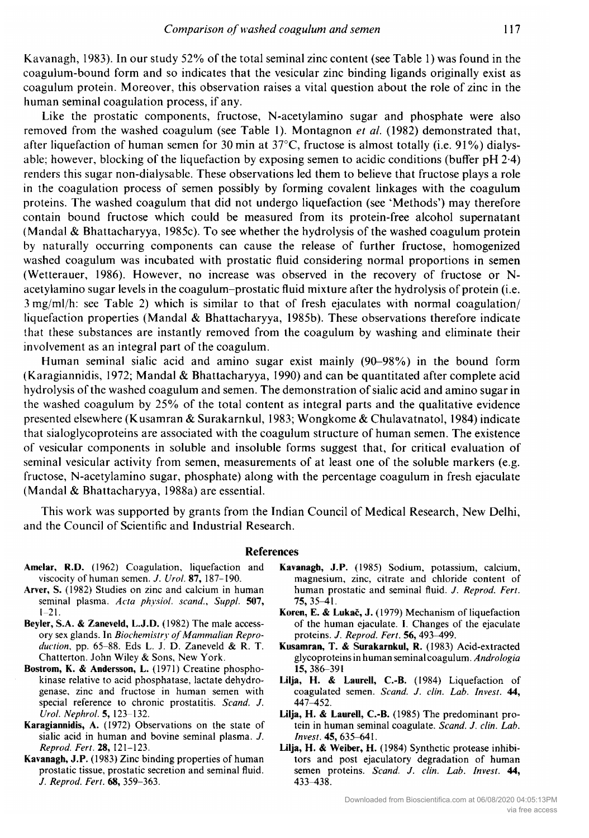Kavanagh, 1983). In our study 52% of the total seminal zinc content (see Table 1) was found in the coagulum-bound form and so indicates that the vesicular zinc binding ligands originally exist as coagulum protein. Moreover, this observation raises <sup>a</sup> vital question about the role of zinc in the human seminal coagulation process, if any.

Like the prostatic components, fructose, N-acetylamino sugar and phosphate were also removed from the washed coagulum (see Table 1). Montagnon *et al.* (1982) demonstrated that, after liquefaction of human semen for 30 min at 37 $^{\circ}$ C, fructose is almost totally (i.e. 91%) dialysable; however, blocking of the liquefaction by exposing semen to acidic conditions (buffer pH 2-4) renders this sugar non-dialysable. These observations led them to believe that fructose plays <sup>a</sup> role in the coagulation process of semen possibly by forming covalent linkages with the coagulum proteins. The washed coagulum that did not undergo liquefaction (see 'Methods') may therefore contain bound fructose which could be measured from its protein-free alcohol supernatant (Mandai & Bhattacharyya, 1985c). To see whether the hydrolysis of the washed coagulum protein by naturally occurring components can cause the release of further fructose, homogenized washed coagulum was incubated with prostatic fluid considering normal proportions in semen (Wetterauer, 1986). However, no increase was observed in the recovery of fructose or Nacetylamino sugar levels in the coagulum-prostatic fluid mixture after the hydrolysis of protein (i.e. <sup>3</sup> mg/ml/h: see Table 2) which is similar to that of fresh ejaculates with normal coagulation/ liquefaction properties (Mandai & Bhattacharyya, 1985b). These observations therefore indicate that these substances are instantly removed from the coagulum by washing and eliminate their involvement as an integral part of the coagulum.

Human seminal sialic acid and amino sugar exist mainly (90-98%) in the bound form (Karagiannidis, 1972; Mandai & Bhattacharyya, 1990) and can be quantitated after complete acid hydrolysis of the washed coagulum and semen. The demonstration of sialic acid and amino sugar in the washed coagulum by 25% of the total content as integral parts and the qualitative evidence presented elsewhere (Kusamran & Surakarnkul, 1983; Wongkome & Chulavatnatol, 1984) indicate that sialoglycoproteins are associated with the coagulum structure of human semen. The existence of vesicular components in soluble and insoluble forms suggest that, for critical evaluation of seminal vesicular activity from semen, measurements of at least one of the soluble markers (e.g. fructose, N-acetylamino sugar, phosphate) along with the percentage coagulum in fresh ejaculate (Mandai & Bhattacharyya, 1988a) are essential.

This work was supported by grants from the Indian Council of Medical Research, New Delhi, and the Council of Scientific and Industrial Research.

#### References

- Amelar, R.D. (1962) Coagulation, liquefaction and viscocity of human semen. J. Urol. 87, 187-190.
- Arver, S. (1982) Studies on zinc and calcium in human seminal plasma. Acta physiol. scand., Suppl. 507, 1-21.
- Beyler, S.A. & Zaneveld, L.J.D. (1982) The male accessory sex glands. In Biochemistry of Mammalian Reproduction, pp. 65-88. Eds L. J. D. Zaneveld & R. T. Chatterton. John Wiley & Sons, New York.
- Bostrom, K. & Andersson, L. (1971) Creatine phosphokinase relative to acid phosphatase, lactate dehydrogenase, zinc and fructose in human semen with special reference to chronic prostatitis. Scand. J. Urol. Nephrol. 5, 123-132.
- Karagiannidis, A. (1972) Observations on the state of sialic acid in human and bovine seminal plasma. J. Reprod. Fert. 28, 121-123.
- Kavanagh, J.P. (1983) Zinc binding properties of human prostatic tissue, prostatic secretion and seminal fluid. J. Reprod. Fert. 68, 359-363.
- Kavanagh, J.P. (1985) Sodium, potassium, calcium, magnesium, zinc, citrate and chloride content of human prostatic and seminal fluid. J. Reprod. Fert. 75,35-41.
- Koren, E. & Lukac, J. (1979) Mechanism of liquefaction of the human ejaculate. I. Changes of the ejaculate proteins. J. Reprod. Fert. 56, 493-499.
- Kusamran, T. & Surakarnkul, R. (1983) Acid-extracted glycoproteins in human seminal coagulum. Andrologia 15,386-391
- Lilja, H. & Laurell, C.-B. (1984) Liquefaction of coagulated semen. Scand. J. clin. Lab. Invest. 44, 447^452.
- Lilja, H. & Laurell, C.-B. (1985) The predominant protein in human seminal coagulate. Scand. J. clin. Lab. Invest. 45, 635-641.
- Lilja, H. & Weiber, H. (1984) Synthetic protease inhibitors and post ejaculatory degradation of human semen proteins. Scand. J. clin. Lab. Invest. 44, 433^138.